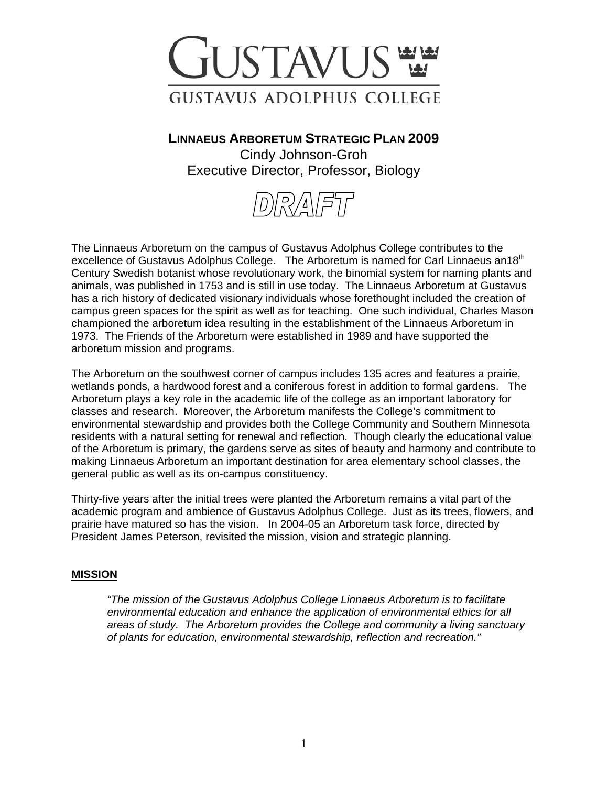

**LINNAEUS ARBORETUM STRATEGIC PLAN 2009** Cindy Johnson-Groh Executive Director, Professor, Biology



The Linnaeus Arboretum on the campus of Gustavus Adolphus College contributes to the excellence of Gustavus Adolphus College. The Arboretum is named for Carl Linnaeus an18<sup>th</sup> Century Swedish botanist whose revolutionary work, the binomial system for naming plants and animals, was published in 1753 and is still in use today. The Linnaeus Arboretum at Gustavus has a rich history of dedicated visionary individuals whose forethought included the creation of campus green spaces for the spirit as well as for teaching. One such individual, Charles Mason championed the arboretum idea resulting in the establishment of the Linnaeus Arboretum in 1973. The Friends of the Arboretum were established in 1989 and have supported the arboretum mission and programs.

The Arboretum on the southwest corner of campus includes 135 acres and features a prairie, wetlands ponds, a hardwood forest and a coniferous forest in addition to formal gardens. The Arboretum plays a key role in the academic life of the college as an important laboratory for classes and research. Moreover, the Arboretum manifests the College's commitment to environmental stewardship and provides both the College Community and Southern Minnesota residents with a natural setting for renewal and reflection. Though clearly the educational value of the Arboretum is primary, the gardens serve as sites of beauty and harmony and contribute to making Linnaeus Arboretum an important destination for area elementary school classes, the general public as well as its on-campus constituency.

Thirty-five years after the initial trees were planted the Arboretum remains a vital part of the academic program and ambience of Gustavus Adolphus College. Just as its trees, flowers, and prairie have matured so has the vision. In 2004-05 an Arboretum task force, directed by President James Peterson, revisited the mission, vision and strategic planning.

#### **MISSION**

*"The mission of the Gustavus Adolphus College Linnaeus Arboretum is to facilitate environmental education and enhance the application of environmental ethics for all areas of study. The Arboretum provides the College and community a living sanctuary of plants for education, environmental stewardship, reflection and recreation."*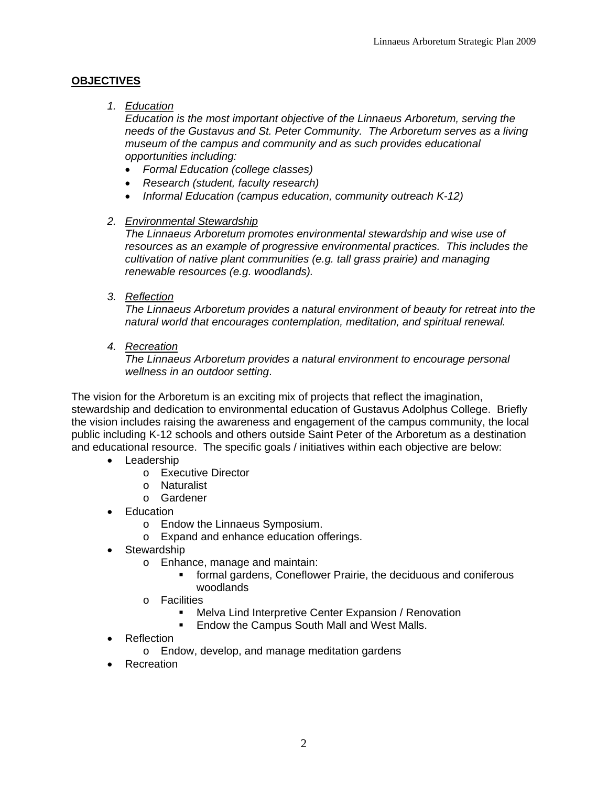# **OBJECTIVES**

## *1. Education*

 *Education is the most important objective of the Linnaeus Arboretum, serving the needs of the Gustavus and St. Peter Community. The Arboretum serves as a living museum of the campus and community and as such provides educational opportunities including:* 

- *Formal Education (college classes)*
- *Research (student, faculty research)*
- *Informal Education (campus education, community outreach K-12)*

## *2. Environmental Stewardship*

 *The Linnaeus Arboretum promotes environmental stewardship and wise use of resources as an example of progressive environmental practices. This includes the cultivation of native plant communities (e.g. tall grass prairie) and managing renewable resources (e.g. woodlands).* 

*3. Reflection*

 *The Linnaeus Arboretum provides a natural environment of beauty for retreat into the natural world that encourages contemplation, meditation, and spiritual renewal.* 

*4. Recreation*

 *The Linnaeus Arboretum provides a natural environment to encourage personal wellness in an outdoor setting*.

The vision for the Arboretum is an exciting mix of projects that reflect the imagination, stewardship and dedication to environmental education of Gustavus Adolphus College. Briefly the vision includes raising the awareness and engagement of the campus community, the local public including K-12 schools and others outside Saint Peter of the Arboretum as a destination and educational resource. The specific goals / initiatives within each objective are below:

- Leadership
	- o Executive Director
	- o Naturalist
	- o Gardener
- Education
	- o Endow the Linnaeus Symposium.
	- o Expand and enhance education offerings.
- Stewardship
	- o Enhance, manage and maintain:
		- formal gardens, Coneflower Prairie, the deciduous and coniferous woodlands
	- o Facilities
		- **Melva Lind Interpretive Center Expansion / Renovation**
		- **Endow the Campus South Mall and West Malls.**
- **Reflection** 
	- o Endow, develop, and manage meditation gardens
- Recreation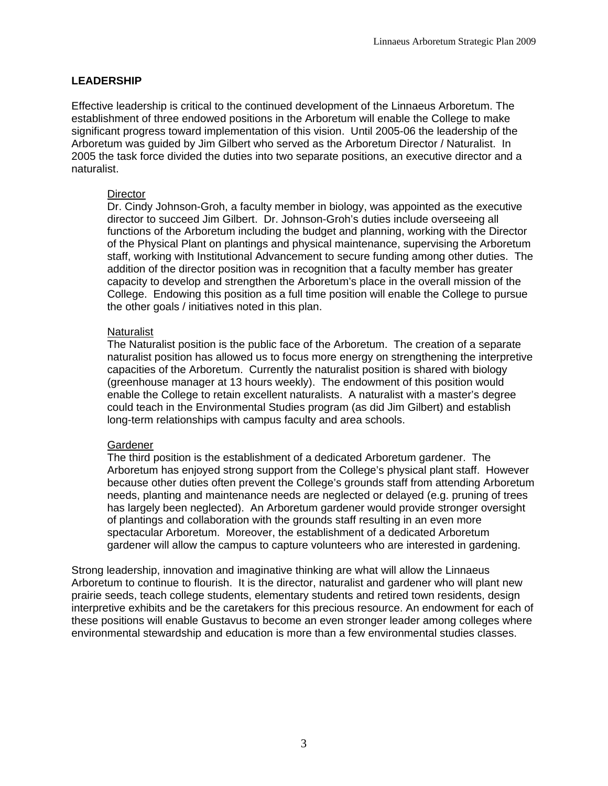# **LEADERSHIP**

Effective leadership is critical to the continued development of the Linnaeus Arboretum. The establishment of three endowed positions in the Arboretum will enable the College to make significant progress toward implementation of this vision. Until 2005-06 the leadership of the Arboretum was guided by Jim Gilbert who served as the Arboretum Director / Naturalist. In 2005 the task force divided the duties into two separate positions, an executive director and a naturalist.

#### **Director**

Dr. Cindy Johnson-Groh, a faculty member in biology, was appointed as the executive director to succeed Jim Gilbert. Dr. Johnson-Groh's duties include overseeing all functions of the Arboretum including the budget and planning, working with the Director of the Physical Plant on plantings and physical maintenance, supervising the Arboretum staff, working with Institutional Advancement to secure funding among other duties. The addition of the director position was in recognition that a faculty member has greater capacity to develop and strengthen the Arboretum's place in the overall mission of the College. Endowing this position as a full time position will enable the College to pursue the other goals / initiatives noted in this plan.

#### **Naturalist**

The Naturalist position is the public face of the Arboretum. The creation of a separate naturalist position has allowed us to focus more energy on strengthening the interpretive capacities of the Arboretum. Currently the naturalist position is shared with biology (greenhouse manager at 13 hours weekly). The endowment of this position would enable the College to retain excellent naturalists. A naturalist with a master's degree could teach in the Environmental Studies program (as did Jim Gilbert) and establish long-term relationships with campus faculty and area schools.

## Gardener

The third position is the establishment of a dedicated Arboretum gardener. The Arboretum has enjoyed strong support from the College's physical plant staff. However because other duties often prevent the College's grounds staff from attending Arboretum needs, planting and maintenance needs are neglected or delayed (e.g. pruning of trees has largely been neglected). An Arboretum gardener would provide stronger oversight of plantings and collaboration with the grounds staff resulting in an even more spectacular Arboretum. Moreover, the establishment of a dedicated Arboretum gardener will allow the campus to capture volunteers who are interested in gardening.

Strong leadership, innovation and imaginative thinking are what will allow the Linnaeus Arboretum to continue to flourish. It is the director, naturalist and gardener who will plant new prairie seeds, teach college students, elementary students and retired town residents, design interpretive exhibits and be the caretakers for this precious resource. An endowment for each of these positions will enable Gustavus to become an even stronger leader among colleges where environmental stewardship and education is more than a few environmental studies classes.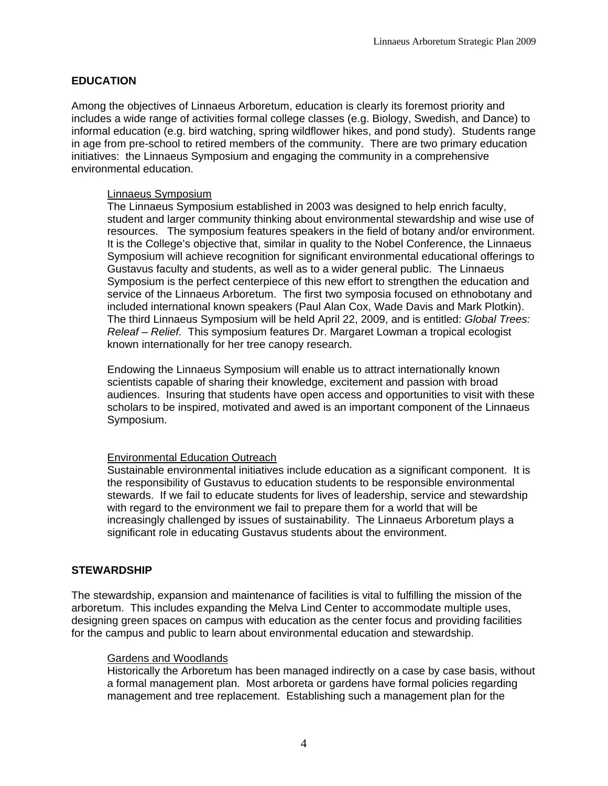# **EDUCATION**

Among the objectives of Linnaeus Arboretum, education is clearly its foremost priority and includes a wide range of activities formal college classes (e.g. Biology, Swedish, and Dance) to informal education (e.g. bird watching, spring wildflower hikes, and pond study). Students range in age from pre-school to retired members of the community. There are two primary education initiatives: the Linnaeus Symposium and engaging the community in a comprehensive environmental education.

#### Linnaeus Symposium

The Linnaeus Symposium established in 2003 was designed to help enrich faculty, student and larger community thinking about environmental stewardship and wise use of resources. The symposium features speakers in the field of botany and/or environment. It is the College's objective that, similar in quality to the Nobel Conference, the Linnaeus Symposium will achieve recognition for significant environmental educational offerings to Gustavus faculty and students, as well as to a wider general public. The Linnaeus Symposium is the perfect centerpiece of this new effort to strengthen the education and service of the Linnaeus Arboretum. The first two symposia focused on ethnobotany and included international known speakers (Paul Alan Cox, Wade Davis and Mark Plotkin). The third Linnaeus Symposium will be held April 22, 2009, and is entitled: *Global Trees: Releaf – Relief.* This symposium features Dr. Margaret Lowman a tropical ecologist known internationally for her tree canopy research.

Endowing the Linnaeus Symposium will enable us to attract internationally known scientists capable of sharing their knowledge, excitement and passion with broad audiences. Insuring that students have open access and opportunities to visit with these scholars to be inspired, motivated and awed is an important component of the Linnaeus Symposium.

## **Environmental Education Outreach**

Sustainable environmental initiatives include education as a significant component. It is the responsibility of Gustavus to education students to be responsible environmental stewards. If we fail to educate students for lives of leadership, service and stewardship with regard to the environment we fail to prepare them for a world that will be increasingly challenged by issues of sustainability. The Linnaeus Arboretum plays a significant role in educating Gustavus students about the environment.

## **STEWARDSHIP**

The stewardship, expansion and maintenance of facilities is vital to fulfilling the mission of the arboretum. This includes expanding the Melva Lind Center to accommodate multiple uses, designing green spaces on campus with education as the center focus and providing facilities for the campus and public to learn about environmental education and stewardship.

#### Gardens and Woodlands

Historically the Arboretum has been managed indirectly on a case by case basis, without a formal management plan. Most arboreta or gardens have formal policies regarding management and tree replacement. Establishing such a management plan for the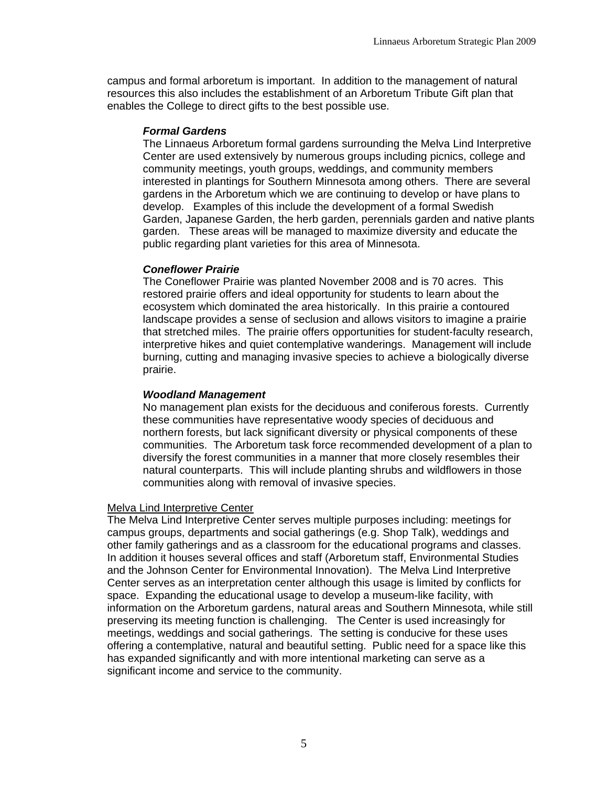campus and formal arboretum is important. In addition to the management of natural resources this also includes the establishment of an Arboretum Tribute Gift plan that enables the College to direct gifts to the best possible use.

#### *Formal Gardens*

The Linnaeus Arboretum formal gardens surrounding the Melva Lind Interpretive Center are used extensively by numerous groups including picnics, college and community meetings, youth groups, weddings, and community members interested in plantings for Southern Minnesota among others. There are several gardens in the Arboretum which we are continuing to develop or have plans to develop. Examples of this include the development of a formal Swedish Garden, Japanese Garden, the herb garden, perennials garden and native plants garden. These areas will be managed to maximize diversity and educate the public regarding plant varieties for this area of Minnesota.

## *Coneflower Prairie*

The Coneflower Prairie was planted November 2008 and is 70 acres. This restored prairie offers and ideal opportunity for students to learn about the ecosystem which dominated the area historically. In this prairie a contoured landscape provides a sense of seclusion and allows visitors to imagine a prairie that stretched miles. The prairie offers opportunities for student-faculty research, interpretive hikes and quiet contemplative wanderings. Management will include burning, cutting and managing invasive species to achieve a biologically diverse prairie.

## *Woodland Management*

No management plan exists for the deciduous and coniferous forests. Currently these communities have representative woody species of deciduous and northern forests, but lack significant diversity or physical components of these communities. The Arboretum task force recommended development of a plan to diversify the forest communities in a manner that more closely resembles their natural counterparts. This will include planting shrubs and wildflowers in those communities along with removal of invasive species.

## Melva Lind Interpretive Center

The Melva Lind Interpretive Center serves multiple purposes including: meetings for campus groups, departments and social gatherings (e.g. Shop Talk), weddings and other family gatherings and as a classroom for the educational programs and classes. In addition it houses several offices and staff (Arboretum staff, Environmental Studies and the Johnson Center for Environmental Innovation). The Melva Lind Interpretive Center serves as an interpretation center although this usage is limited by conflicts for space. Expanding the educational usage to develop a museum-like facility, with information on the Arboretum gardens, natural areas and Southern Minnesota, while still preserving its meeting function is challenging. The Center is used increasingly for meetings, weddings and social gatherings. The setting is conducive for these uses offering a contemplative, natural and beautiful setting. Public need for a space like this has expanded significantly and with more intentional marketing can serve as a significant income and service to the community.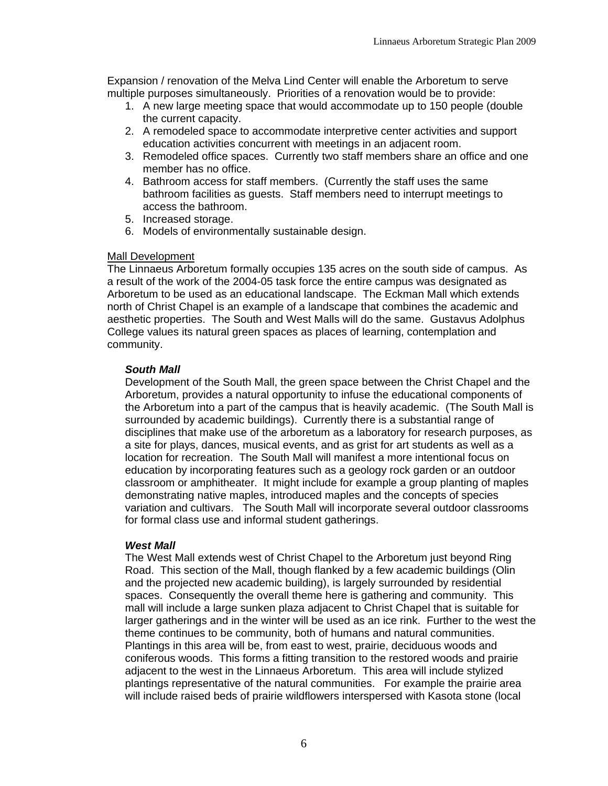Expansion / renovation of the Melva Lind Center will enable the Arboretum to serve multiple purposes simultaneously. Priorities of a renovation would be to provide:

- 1. A new large meeting space that would accommodate up to 150 people (double the current capacity.
- 2. A remodeled space to accommodate interpretive center activities and support education activities concurrent with meetings in an adjacent room.
- 3. Remodeled office spaces. Currently two staff members share an office and one member has no office.
- 4. Bathroom access for staff members. (Currently the staff uses the same bathroom facilities as guests. Staff members need to interrupt meetings to access the bathroom.
- 5. Increased storage.
- 6. Models of environmentally sustainable design.

#### **Mall Development**

The Linnaeus Arboretum formally occupies 135 acres on the south side of campus. As a result of the work of the 2004-05 task force the entire campus was designated as Arboretum to be used as an educational landscape. The Eckman Mall which extends north of Christ Chapel is an example of a landscape that combines the academic and aesthetic properties. The South and West Malls will do the same. Gustavus Adolphus College values its natural green spaces as places of learning, contemplation and community.

#### *South Mall*

Development of the South Mall, the green space between the Christ Chapel and the Arboretum, provides a natural opportunity to infuse the educational components of the Arboretum into a part of the campus that is heavily academic. (The South Mall is surrounded by academic buildings). Currently there is a substantial range of disciplines that make use of the arboretum as a laboratory for research purposes, as a site for plays, dances, musical events, and as grist for art students as well as a location for recreation. The South Mall will manifest a more intentional focus on education by incorporating features such as a geology rock garden or an outdoor classroom or amphitheater. It might include for example a group planting of maples demonstrating native maples, introduced maples and the concepts of species variation and cultivars. The South Mall will incorporate several outdoor classrooms for formal class use and informal student gatherings.

#### *West Mall*

The West Mall extends west of Christ Chapel to the Arboretum just beyond Ring Road. This section of the Mall, though flanked by a few academic buildings (Olin and the projected new academic building), is largely surrounded by residential spaces. Consequently the overall theme here is gathering and community. This mall will include a large sunken plaza adjacent to Christ Chapel that is suitable for larger gatherings and in the winter will be used as an ice rink. Further to the west the theme continues to be community, both of humans and natural communities. Plantings in this area will be, from east to west, prairie, deciduous woods and coniferous woods. This forms a fitting transition to the restored woods and prairie adjacent to the west in the Linnaeus Arboretum. This area will include stylized plantings representative of the natural communities. For example the prairie area will include raised beds of prairie wildflowers interspersed with Kasota stone (local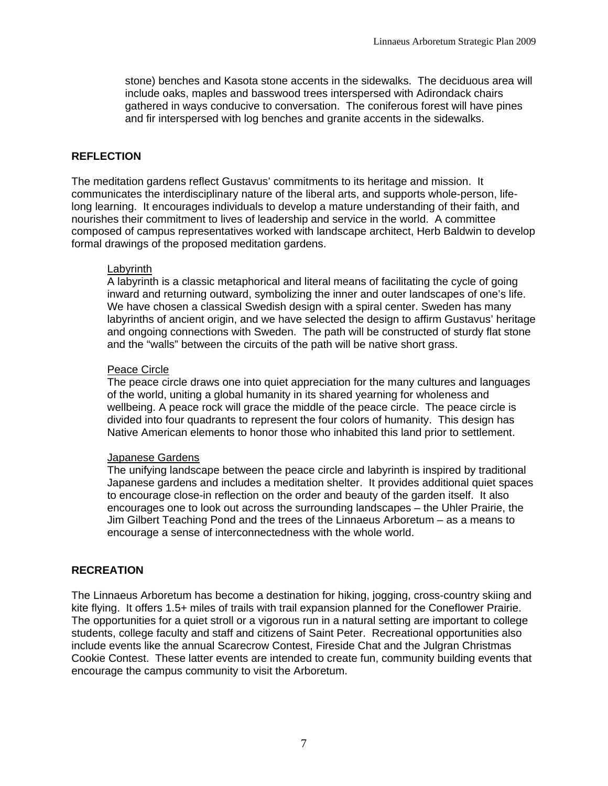stone) benches and Kasota stone accents in the sidewalks. The deciduous area will include oaks, maples and basswood trees interspersed with Adirondack chairs gathered in ways conducive to conversation. The coniferous forest will have pines and fir interspersed with log benches and granite accents in the sidewalks.

# **REFLECTION**

The meditation gardens reflect Gustavus' commitments to its heritage and mission. It communicates the interdisciplinary nature of the liberal arts, and supports whole-person, lifelong learning. It encourages individuals to develop a mature understanding of their faith, and nourishes their commitment to lives of leadership and service in the world. A committee composed of campus representatives worked with landscape architect, Herb Baldwin to develop formal drawings of the proposed meditation gardens.

## Labyrinth

A labyrinth is a classic metaphorical and literal means of facilitating the cycle of going inward and returning outward, symbolizing the inner and outer landscapes of one's life. We have chosen a classical Swedish design with a spiral center. Sweden has many labyrinths of ancient origin, and we have selected the design to affirm Gustavus' heritage and ongoing connections with Sweden. The path will be constructed of sturdy flat stone and the "walls" between the circuits of the path will be native short grass.

#### Peace Circle

The peace circle draws one into quiet appreciation for the many cultures and languages of the world, uniting a global humanity in its shared yearning for wholeness and wellbeing. A peace rock will grace the middle of the peace circle. The peace circle is divided into four quadrants to represent the four colors of humanity. This design has Native American elements to honor those who inhabited this land prior to settlement.

## Japanese Gardens

The unifying landscape between the peace circle and labyrinth is inspired by traditional Japanese gardens and includes a meditation shelter. It provides additional quiet spaces to encourage close-in reflection on the order and beauty of the garden itself. It also encourages one to look out across the surrounding landscapes – the Uhler Prairie, the Jim Gilbert Teaching Pond and the trees of the Linnaeus Arboretum – as a means to encourage a sense of interconnectedness with the whole world.

## **RECREATION**

The Linnaeus Arboretum has become a destination for hiking, jogging, cross-country skiing and kite flying. It offers 1.5+ miles of trails with trail expansion planned for the Coneflower Prairie. The opportunities for a quiet stroll or a vigorous run in a natural setting are important to college students, college faculty and staff and citizens of Saint Peter. Recreational opportunities also include events like the annual Scarecrow Contest, Fireside Chat and the Julgran Christmas Cookie Contest. These latter events are intended to create fun, community building events that encourage the campus community to visit the Arboretum.